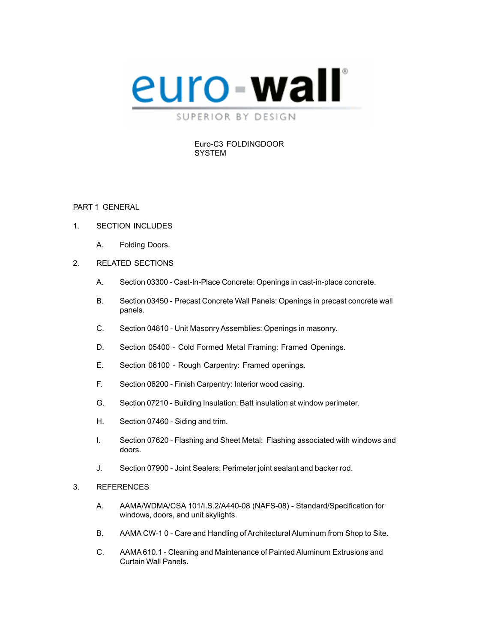

#### Euro-C3 FOLDINGDOOR **SYSTEM**

#### PART 1 GENERAL

- 1. SECTION INCLUDES
	- A. Folding Doors.
- 2. RELATED SECTIONS
	- A. Section 03300 Cast-In-Place Concrete: Openings in cast-in-place concrete.
	- B. Section 03450 Precast Concrete Wall Panels: Openings in precast concrete wall panels.
	- C. Section 04810 Unit Masonry Assemblies: Openings in masonry.
	- D. Section 05400 Cold Formed Metal Framing: Framed Openings.
	- E. Section 06100 Rough Carpentry: Framed openings.
	- F. Section 06200 Finish Carpentry: Interior wood casing.
	- G. Section 07210 Building Insulation: Batt insulation at window perimeter.
	- H. Section 07460 Siding and trim.
	- I. Section 07620 Flashing and Sheet Metal: Flashing associated with windows and doors.
	- J. Section 07900 Joint Sealers: Perimeter joint sealant and backer rod.
- 3. REFERENCES
	- A. AAMA/WDMA/CSA 101/I.S.2/A440-08 (NAFS-08) Standard/Specification for windows, doors, and unit skylights.
	- B. AAMA CW-1 0 Care and Handling of Architectural Aluminum from Shop to Site.
	- C. AAMA610.1 Cleaning and Maintenance of Painted Aluminum Extrusions and Curtain Wall Panels.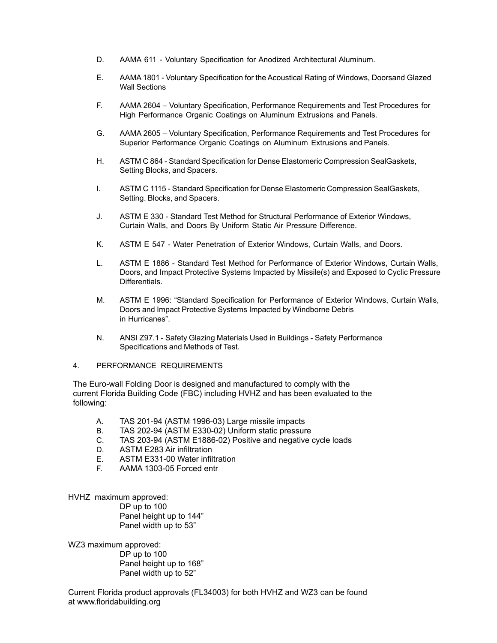- D. AAMA 611 Voluntary Specification for Anodized Architectural Aluminum.
- E. AAMA1801 Voluntary Specification for the Acoustical Rating of Windows, Doorsand Glazed Wall Sections
- F. AAMA 2604 Voluntary Specification, Performance Requirements and Test Procedures for High Performance Organic Coatings on Aluminum Extrusions and Panels.
- G. AAMA 2605 Voluntary Specification, Performance Requirements and Test Procedures for Superior Performance Organic Coatings on Aluminum Extrusions and Panels.
- H. ASTM C 864 Standard Specification for Dense Elastomeric Compression SealGaskets, Setting Blocks, and Spacers.
- I. ASTM C 1115 Standard Specification for Dense Elastomeric Compression SealGaskets, Setting. Blocks, and Spacers.
- J. ASTM E 330 Standard Test Method for Structural Performance of Exterior Windows, Curtain Walls, and Doors By Uniform Static Air Pressure Difference.
- K. ASTM E 547 Water Penetration of Exterior Windows, Curtain Walls, and Doors.
- L. ASTM E 1886 Standard Test Method for Performance of Exterior Windows, Curtain Walls, Doors, and Impact Protective Systems Impacted by Missile(s) and Exposed to Cyclic Pressure Differentials.
- M. ASTM E 1996: "Standard Specification for Performance of Exterior Windows, Curtain Walls, Doors and Impact Protective Systems Impacted by Windborne Debris in Hurricanes".
- N. ANSI Z97.1 Safety Glazing Materials Used in Buildings Safety Performance Specifications and Methods of Test.
- 4. PERFORMANCE REQUIREMENTS

The Euro-wall Folding Door is designed and manufactured to comply with the current Florida Building Code (FBC) including HVHZ and has been evaluated to the following:

- A. TAS 201-94 (ASTM 1996-03) Large missile impacts
- B. TAS 202-94 (ASTM E330-02) Uniform static pressure
- C. TAS 203-94 (ASTM E1886-02) Positive and negative cycle loads
- D. ASTM E283 Air infiltration
- E. ASTM E331-00 Water infiltration
- F. AAMA 1303-05 Forced entr

HVHZ maximum approved:

DP up to 100 Panel height up to 144" Panel width up to 53"

WZ3 maximum approved:

DP up to 100 Panel height up to 168" Panel width up to 52"

Current Florida product approvals (FL34003) for both HVHZ and WZ3 can be found at www.floridabuilding.org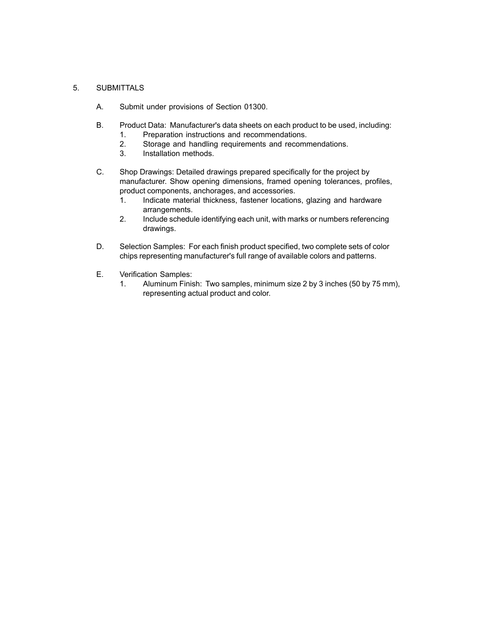#### 5. SUBMITTALS

- A. Submit under provisions of Section 01300.
- B. Product Data: Manufacturer's data sheets on each product to be used, including:
	- 1. Preparation instructions and recommendations.
	- 2. Storage and handling requirements and recommendations.
	- 3. Installation methods.
- C. Shop Drawings: Detailed drawings prepared specifically for the project by manufacturer. Show opening dimensions, framed opening tolerances, profiles, product components, anchorages, and accessories.
	- 1. Indicate material thickness, fastener locations, glazing and hardware arrangements.
	- 2. Include schedule identifying each unit, with marks or numbers referencing drawings.
- D. Selection Samples: For each finish product specified, two complete sets of color chips representing manufacturer's full range of available colors and patterns.
- E. Verification Samples:
	- 1. Aluminum Finish: Two samples, minimum size 2 by 3 inches (50 by 75 mm), representing actual product and color.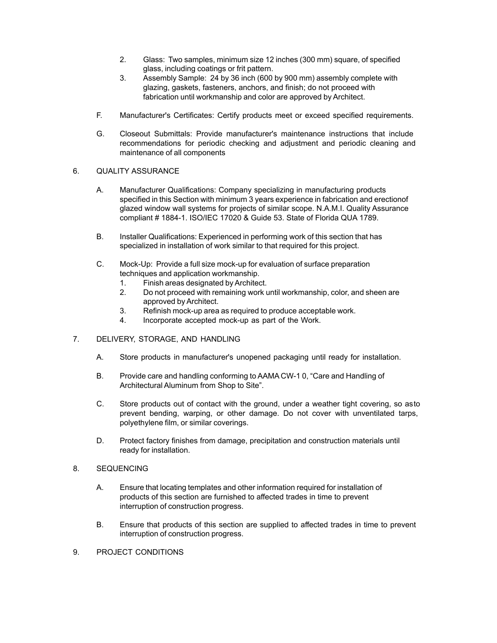- 2. Glass: Two samples, minimum size 12 inches (300 mm) square, of specified glass, including coatings or frit pattern.
- 3. Assembly Sample: 24 by 36 inch (600 by 900 mm) assembly complete with glazing, gaskets, fasteners, anchors, and finish; do not proceed with fabrication until workmanship and color are approved by Architect.
- F. Manufacturer's Certificates: Certify products meet or exceed specified requirements.
- G. Closeout Submittals: Provide manufacturer's maintenance instructions that include recommendations for periodic checking and adjustment and periodic cleaning and maintenance of all components

## 6. QUALITY ASSURANCE

- A. Manufacturer Qualifications: Company specializing in manufacturing products specified in this Section with minimum 3 years experience in fabrication and erectionof glazed window wall systems for projects of similar scope. N.A.M.I. Quality Assurance compliant # 1884-1. ISO/IEC 17020 & Guide 53. State of Florida QUA 1789.
- B. Installer Qualifications: Experienced in performing work of this section that has specialized in installation of work similar to that required for this project.
- C. Mock-Up: Provide a full size mock-up for evaluation of surface preparation techniques and application workmanship.
	- 1. Finish areas designated byArchitect.
	- 2. Do not proceed with remaining work until workmanship, color, and sheen are approved by Architect.
	- 3. Refinish mock-up area as required to produce acceptable work.
	- 4. Incorporate accepted mock-up as part of the Work.
- 7. DELIVERY, STORAGE, AND HANDLING
	- A. Store products in manufacturer's unopened packaging until ready for installation.
	- B. Provide care and handling conforming to AAMA CW-1 0, "Care and Handling of Architectural Aluminum from Shop to Site".
	- C. Store products out of contact with the ground, under a weather tight covering, so asto prevent bending, warping, or other damage. Do not cover with unventilated tarps, polyethylene film, or similar coverings.
	- D. Protect factory finishes from damage, precipitation and construction materials until ready for installation.
- 8. SEQUENCING
	- A. Ensure that locating templates and other information required for installation of products of this section are furnished to affected trades in time to prevent interruption of construction progress.
	- B. Ensure that products of this section are supplied to affected trades in time to prevent interruption of construction progress.
- 9. PROJECT CONDITIONS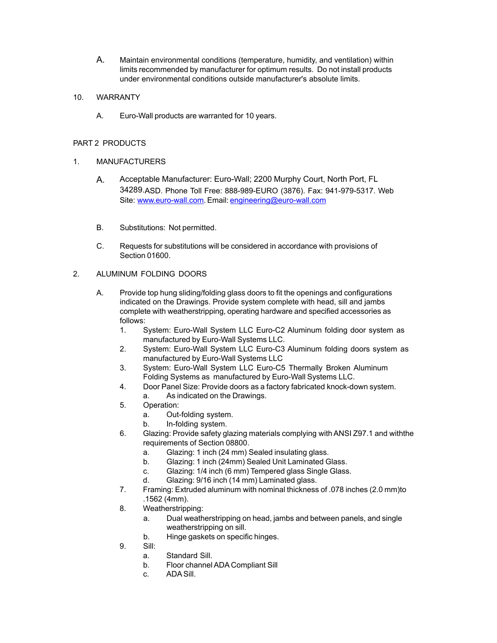A. Maintain environmental conditions (temperature, humidity, and ventilation) within limits recommended by manufacturer for optimum results. Do not install products under environmental conditions outside manufacturer's absolute limits.

## 10. WARRANTY

A. Euro-Wall products are warranted for 10 years.

# PART 2 PRODUCTS

## 1. MANUFACTURERS

- A. Acceptable Manufacturer: Euro-Wall; 2200 Murphy Court, North Port, FL 34289.ASD. Phone Toll Free: 888-989-EURO (3876). Fax: 941-979-5317. Web Site: [www.euro-wall.com.](http://www.euro-wall.com/) Email: [engineering@euro-wall.com](mailto:engineering@euro-wall.com)
- B. Substitutions: Not permitted.
- C. Requests for substitutions will be considered in accordance with provisions of Section 01600.

# 2. ALUMINUM FOLDING DOORS

- A. Provide top hung sliding/folding glass doors to fit the openings and configurations indicated on the Drawings. Provide system complete with head, sill and jambs complete with weatherstripping, operating hardware and specified accessories as follows:
	- 1. System: Euro-Wall System LLC Euro-C2 Aluminum folding door system as manufactured by Euro-Wall Systems LLC.
	- 2. System: Euro-Wall System LLC Euro-C3 Aluminum folding doors system as manufactured by Euro-Wall Systems LLC
	- 3. System: Euro-Wall System LLC Euro-C5 Thermally Broken Aluminum Folding Systems as manufactured by Euro-Wall Systems LLC.
	- 4. Door Panel Size: Provide doors as a factory fabricated knock-down system.
		- a. As indicated on the Drawings.
	- 5. Operation:
		- a. Out-folding system.
		- b. In-folding system.
	- 6. Glazing: Provide safety glazing materials complying withANSI Z97.1 and withthe requirements of Section 08800.
		- a. Glazing: 1 inch (24 mm) Sealed insulating glass.
		- b. Glazing: 1 inch (24mm) Sealed Unit Laminated Glass.
		- c. Glazing: 1/4 inch (6 mm) Tempered glass Single Glass.
		- d. Glazing: 9/16 inch (14 mm) Laminated glass.
	- 7. Framing: Extruded aluminum with nominal thickness of .078 inches (2.0 mm)to .1562 (4mm).
	- 8. Weatherstripping:
		- a. Dual weatherstripping on head, jambs and between panels, and single weatherstripping on sill.
		- b. Hinge gaskets on specific hinges.
	- 9. Sill:
		- a. Standard Sill.
		- b. Floor channelADA Compliant Sill
		- c. ADASill.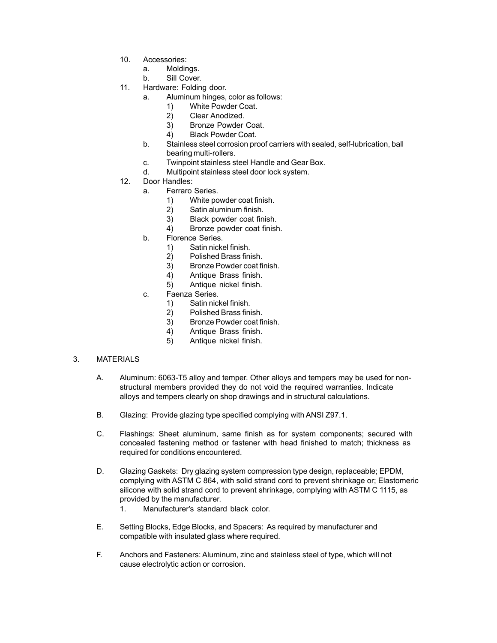- 10. Accessories:
	- a. Moldings.
	- b. Sill Cover.
- 11. Hardware: Folding door.
	- a. Aluminum hinges, color as follows:
		- 1) White Powder Coat.
		- 2) Clear Anodized.
		- 3) Bronze Powder Coat.
		- 4) Black Powder Coat.
	- b. Stainless steel corrosion proof carriers with sealed, self-lubrication, ball bearing multi-rollers.
	- c. Twinpoint stainless steel Handle and Gear Box.
	- d. Multipoint stainless steel door lock system.
- 12. Door Handles:
	- a. Ferraro Series.
		- 1) White powder coat finish.
		- 2) Satin aluminum finish.
		- 3) Black powder coat finish.
		- 4) Bronze powder coat finish.
	- b. Florence Series.
		- 1) Satin nickel finish.
		- 2) Polished Brass finish.
		- 3) Bronze Powder coat finish.
		- 4) Antique Brass finish.
		- 5) Antique nickel finish.
	- c. Faenza Series.
		- 1) Satin nickel finish.
		- 2) Polished Brass finish.
		- 3) Bronze Powder coat finish.
		- 4) Antique Brass finish.
		- 5) Antique nickel finish.

## 3. MATERIALS

- A. Aluminum: 6063-T5 alloy and temper. Other alloys and tempers may be used for nonstructural members provided they do not void the required warranties. Indicate alloys and tempers clearly on shop drawings and in structural calculations.
- B. Glazing: Provide glazing type specified complying with ANSI Z97.1.
- C. Flashings: Sheet aluminum, same finish as for system components; secured with concealed fastening method or fastener with head finished to match; thickness as required for conditions encountered.
- D. Glazing Gaskets: Dry glazing system compression type design, replaceable; EPDM, complying with ASTM C 864, with solid strand cord to prevent shrinkage or; Elastomeric silicone with solid strand cord to prevent shrinkage, complying with ASTM C 1115, as provided by the manufacturer.
	- 1. Manufacturer's standard black color.
- E. Setting Blocks, Edge Blocks, and Spacers: As required by manufacturer and compatible with insulated glass where required.
- F. Anchors and Fasteners: Aluminum, zinc and stainless steel of type, which will not cause electrolytic action or corrosion.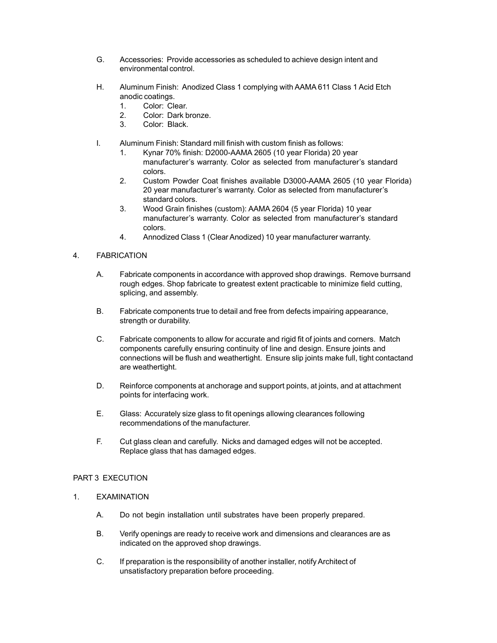- G. Accessories: Provide accessories as scheduled to achieve design intent and environmental control.
- H. Aluminum Finish: Anodized Class 1 complying with AAMA 611 Class 1 Acid Etch anodic coatings.
	- 1. Color: Clear.
	- 2. Color: Dark bronze.
	- 3. Color: Black.
- I. Aluminum Finish: Standard mill finish with custom finish as follows:
	- 1. Kynar 70% finish: D2000-AAMA 2605 (10 year Florida) 20 year manufacturer's warranty. Color as selected from manufacturer's standard colors.
	- 2. Custom Powder Coat finishes available D3000-AAMA 2605 (10 year Florida) 20 year manufacturer's warranty. Color as selected from manufacturer's standard colors.
	- 3. Wood Grain finishes (custom): AAMA 2604 (5 year Florida) 10 year manufacturer's warranty. Color as selected from manufacturer's standard colors.
	- 4. Annodized Class 1 (ClearAnodized) 10 year manufacturer warranty.

## 4. FABRICATION

- A. Fabricate components in accordance with approved shop drawings. Remove burrsand rough edges. Shop fabricate to greatest extent practicable to minimize field cutting, splicing, and assembly.
- B. Fabricate components true to detail and free from defects impairing appearance, strength or durability.
- C. Fabricate components to allow for accurate and rigid fit of joints and corners. Match components carefully ensuring continuity of line and design. Ensure joints and connections will be flush and weathertight. Ensure slip joints make full, tight contactand are weathertight.
- D. Reinforce components at anchorage and support points, at joints, and at attachment points for interfacing work.
- E. Glass: Accurately size glass to fit openings allowing clearances following recommendations of the manufacturer.
- F. Cut glass clean and carefully. Nicks and damaged edges will not be accepted. Replace glass that has damaged edges.

## PART 3 EXECUTION

- 1. EXAMINATION
	- A. Do not begin installation until substrates have been properly prepared.
	- B. Verify openings are ready to receive work and dimensions and clearances are as indicated on the approved shop drawings.
	- C. If preparation is the responsibility of another installer, notify Architect of unsatisfactory preparation before proceeding.